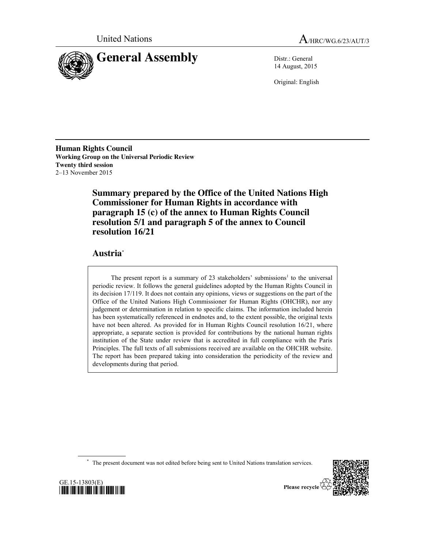



14 August, 2015

Original: English

**Human Rights Council Working Group on the Universal Periodic Review Twenty third session** 2–13 November 2015

> **Summary prepared by the Office of the United Nations High Commissioner for Human Rights in accordance with paragraph 15 (c) of the annex to Human Rights Council resolution 5/1 and paragraph 5 of the annex to Council resolution 16/21**

## **Austria**\*

The present report is a summary of 23 stakeholders' submissions<sup>1</sup> to the universal periodic review. It follows the general guidelines adopted by the Human Rights Council in its decision 17/119. It does not contain any opinions, views or suggestions on the part of the Office of the United Nations High Commissioner for Human Rights (OHCHR), nor any judgement or determination in relation to specific claims. The information included herein has been systematically referenced in endnotes and, to the extent possible, the original texts have not been altered. As provided for in Human Rights Council resolution 16/21, where appropriate, a separate section is provided for contributions by the national human rights institution of the State under review that is accredited in full compliance with the Paris Principles. The full texts of all submissions received are available on the OHCHR website. The report has been prepared taking into consideration the periodicity of the review and developments during that period.

\* The present document was not edited before being sent to United Nations translation services.



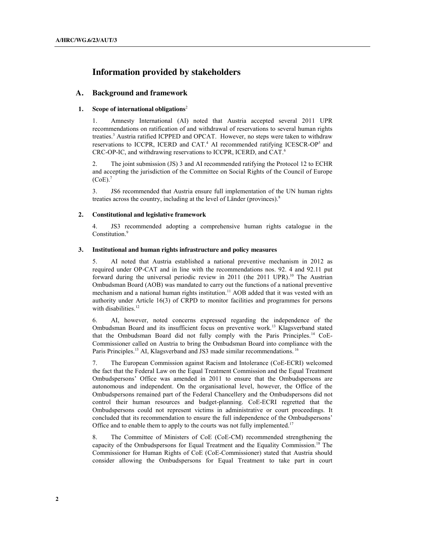# **Information provided by stakeholders**

## **A. Background and framework**

## **1. Scope of international obligations**<sup>2</sup>

1. Amnesty International (AI) noted that Austria accepted several 2011 UPR recommendations on ratification of and withdrawal of reservations to several human rights treaties. <sup>3</sup> Austria ratified ICPPED and OPCAT. However, no steps were taken to withdraw reservations to ICCPR, ICERD and CAT.<sup>4</sup> AI recommended ratifying ICESCR-OP<sup>5</sup> and CRC-OP-IC, and withdrawing reservations to ICCPR, ICERD, and CAT.6

2. The joint submission (JS) 3 and AI recommended ratifying the Protocol 12 to ECHR and accepting the jurisdiction of the Committee on Social Rights of the Council of Europe  $(CoE).$ <sup>7</sup>

3. JS6 recommended that Austria ensure full implementation of the UN human rights treaties across the country, including at the level of Länder (provinces). 8

## **2. Constitutional and legislative framework**

4. JS3 recommended adopting a comprehensive human rights catalogue in the Constitution.<sup>9</sup>

#### **3. Institutional and human rights infrastructure and policy measures**

5. AI noted that Austria established a national preventive mechanism in 2012 as required under OP-CAT and in line with the recommendations nos. 92. 4 and 92.11 put forward during the universal periodic review in 2011 (the 2011 UPR). <sup>10</sup> The Austrian Ombudsman Board (AOB) was mandated to carry out the functions of a national preventive mechanism and a national human rights institution. <sup>11</sup> AOB added that it was vested with an authority under Article 16(3) of CRPD to monitor facilities and programmes for persons with disabilities.<sup>12</sup>

6. AI, however, noted concerns expressed regarding the independence of the Ombudsman Board and its insufficient focus on preventive work.<sup>13</sup> Klagsverband stated that the Ombudsman Board did not fully comply with the Paris Principles.<sup>14</sup> CoE-Commissioner called on Austria to bring the Ombudsman Board into compliance with the Paris Principles.<sup>15</sup> AI, Klagsverband and JS3 made similar recommendations.<sup>16</sup>

7. The European Commission against Racism and Intolerance (CoE-ECRI) welcomed the fact that the Federal Law on the Equal Treatment Commission and the Equal Treatment Ombudspersons' Office was amended in 2011 to ensure that the Ombudspersons are autonomous and independent. On the organisational level, however, the Office of the Ombudspersons remained part of the Federal Chancellery and the Ombudspersons did not control their human resources and budget-planning. CoE-ECRI regretted that the Ombudspersons could not represent victims in administrative or court proceedings. It concluded that its recommendation to ensure the full independence of the Ombudspersons' Office and to enable them to apply to the courts was not fully implemented.<sup>17</sup>

8. The Committee of Ministers of CoE (CoE-CM) recommended strengthening the capacity of the Ombudspersons for Equal Treatment and the Equality Commission. <sup>18</sup> The Commissioner for Human Rights of CoE (CoE-Commissioner) stated that Austria should consider allowing the Ombudspersons for Equal Treatment to take part in court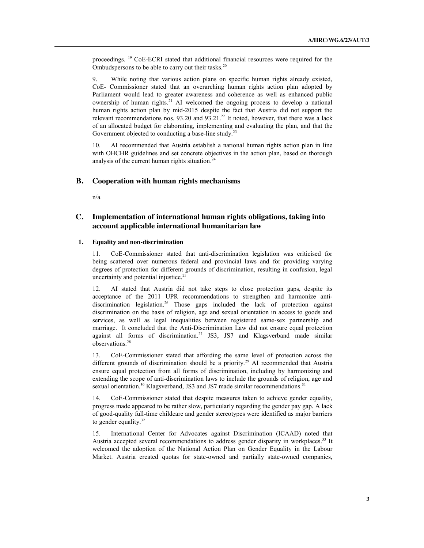proceedings. <sup>19</sup> CoE-ECRI stated that additional financial resources were required for the Ombudspersons to be able to carry out their tasks. $20$ 

9. While noting that various action plans on specific human rights already existed, CoE- Commissioner stated that an overarching human rights action plan adopted by Parliament would lead to greater awareness and coherence as well as enhanced public ownership of human rights.<sup>21</sup> AI welcomed the ongoing process to develop a national human rights action plan by mid-2015 despite the fact that Austria did not support the relevant recommendations nos. 93.20 and 93.21.22 It noted, however, that there was a lack of an allocated budget for elaborating, implementing and evaluating the plan, and that the Government objected to conducting a base-line study.<sup>23</sup>

10. AI recommended that Austria establish a national human rights action plan in line with OHCHR guidelines and set concrete objectives in the action plan, based on thorough analysis of the current human rights situation.<sup>24</sup>

### **B. Cooperation with human rights mechanisms**

n/a

## **C. Implementation of international human rights obligations, taking into account applicable international humanitarian law**

#### **1. Equality and non-discrimination**

11. CoE-Commissioner stated that anti-discrimination legislation was criticised for being scattered over numerous federal and provincial laws and for providing varying degrees of protection for different grounds of discrimination, resulting in confusion, legal uncertainty and potential injustice.25

12. AI stated that Austria did not take steps to close protection gaps, despite its acceptance of the 2011 UPR recommendations to strengthen and harmonize antidiscrimination legislation.<sup>26</sup> Those gaps included the lack of protection against discrimination on the basis of religion, age and sexual orientation in access to goods and services, as well as legal inequalities between registered same-sex partnership and marriage. It concluded that the Anti-Discrimination Law did not ensure equal protection against all forms of discrimination. <sup>27</sup> JS3, JS7 and Klagsverband made similar observations.28

13. CoE-Commissioner stated that affording the same level of protection across the different grounds of discrimination should be a priority.<sup>29</sup> AI recommended that Austria ensure equal protection from all forms of discrimination, including by harmonizing and extending the scope of anti-discrimination laws to include the grounds of religion, age and sexual orientation.<sup>30</sup> Klagsverband, JS3 and JS7 made similar recommendations.<sup>31</sup>

14. CoE-Commissioner stated that despite measures taken to achieve gender equality, progress made appeared to be rather slow, particularly regarding the gender pay gap. A lack of good-quality full-time childcare and gender stereotypes were identified as major barriers to gender equality.<sup>32</sup>

15. International Center for Advocates against Discrimination (ICAAD) noted that Austria accepted several recommendations to address gender disparity in workplaces.<sup>33</sup> It welcomed the adoption of the National Action Plan on Gender Equality in the Labour Market. Austria created quotas for state-owned and partially state-owned companies,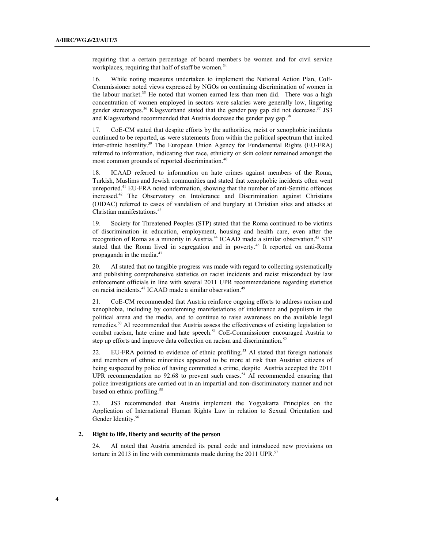requiring that a certain percentage of board members be women and for civil service workplaces, requiring that half of staff be women.<sup>34</sup>

16. While noting measures undertaken to implement the National Action Plan, CoE-Commissioner noted views expressed by NGOs on continuing discrimination of women in the labour market.<sup>35</sup> He noted that women earned less than men did. There was a high concentration of women employed in sectors were salaries were generally low, lingering gender stereotypes.<sup>36</sup> Klagsverband stated that the gender pay gap did not decrease.<sup>37</sup> JS3 and Klagsverband recommended that Austria decrease the gender pay gap.<sup>38</sup>

17. CoE-CM stated that despite efforts by the authorities, racist or xenophobic incidents continued to be reported, as were statements from within the political spectrum that incited inter-ethnic hostility.<sup>39</sup> The European Union Agency for Fundamental Rights (EU-FRA) referred to information, indicating that race, ethnicity or skin colour remained amongst the most common grounds of reported discrimination.40

18. ICAAD referred to information on hate crimes against members of the Roma, Turkish, Muslims and Jewish communities and stated that xenophobic incidents often went unreported.<sup>41</sup> EU-FRA noted information, showing that the number of anti-Semitic offences increased. <sup>42</sup> The Observatory on Intolerance and Discrimination against Christians (OIDAC) referred to cases of vandalism of and burglary at Christian sites and attacks at Christian manifestations.<sup>43</sup>

19. Society for Threatened Peoples (STP) stated that the Roma continued to be victims of discrimination in education, employment, housing and health care, even after the recognition of Roma as a minority in Austria.<sup>44</sup> ICAAD made a similar observation.<sup>45</sup> STP stated that the Roma lived in segregation and in poverty.<sup>46</sup> It reported on anti-Roma propaganda in the media. 47

20. AI stated that no tangible progress was made with regard to collecting systematically and publishing comprehensive statistics on racist incidents and racist misconduct by law enforcement officials in line with several 2011 UPR recommendations regarding statistics on racist incidents.<sup>48</sup> ICAAD made a similar observation.<sup>49</sup>

21. CoE-CM recommended that Austria reinforce ongoing efforts to address racism and xenophobia, including by condemning manifestations of intolerance and populism in the political arena and the media, and to continue to raise awareness on the available legal remedies.<sup>50</sup> AI recommended that Austria assess the effectiveness of existing legislation to combat racism, hate crime and hate speech. <sup>51</sup> CoE-Commissioner encouraged Austria to step up efforts and improve data collection on racism and discrimination.<sup>52</sup>

22. EU-FRA pointed to evidence of ethnic profiling.<sup>53</sup> AI stated that foreign nationals and members of ethnic minorities appeared to be more at risk than Austrian citizens of being suspected by police of having committed a crime, despite Austria accepted the 2011 UPR recommendation no 92.68 to prevent such cases. <sup>54</sup> AI recommended ensuring that police investigations are carried out in an impartial and non-discriminatory manner and not based on ethnic profiling.<sup>55</sup>

23. JS3 recommended that Austria implement the Yogyakarta Principles on the Application of International Human Rights Law in relation to Sexual Orientation and Gender Identity. 56

#### **2. Right to life, liberty and security of the person**

24. AI noted that Austria amended its penal code and introduced new provisions on torture in 2013 in line with commitments made during the 2011 UPR. 57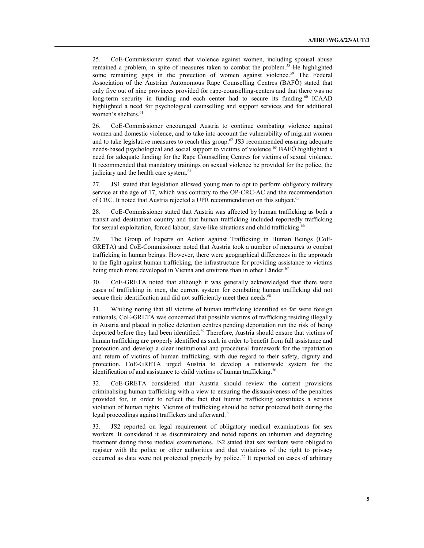25. CoE-Commissioner stated that violence against women, including spousal abuse remained a problem, in spite of measures taken to combat the problem.58 He highlighted some remaining gaps in the protection of women against violence.<sup>59</sup> The Federal Association of the Austrian Autonomous Rape Counselling Centres (BAFÖ) stated that only five out of nine provinces provided for rape-counselling-centers and that there was no long-term security in funding and each center had to secure its funding.<sup>60</sup> ICAAD highlighted a need for psychological counselling and support services and for additional women's shelters.<sup>61</sup>

26. CoE-Commissioner encouraged Austria to continue combating violence against women and domestic violence, and to take into account the vulnerability of migrant women and to take legislative measures to reach this group.<sup>62</sup> JS3 recommended ensuring adequate needs-based psychological and social support to victims of violence.63 BAFÖ highlighted a need for adequate funding for the Rape Counselling Centres for victims of sexual violence. It recommended that mandatory trainings on sexual violence be provided for the police, the judiciary and the health care system.<sup>64</sup>

27. JS1 stated that legislation allowed young men to opt to perform obligatory military service at the age of 17, which was contrary to the OP-CRC-AC and the recommendation of CRC. It noted that Austria rejected a UPR recommendation on this subject.<sup>65</sup>

28. CoE-Commissioner stated that Austria was affected by human trafficking as both a transit and destination country and that human trafficking included reportedly trafficking for sexual exploitation, forced labour, slave-like situations and child trafficking.<sup>66</sup>

29. The Group of Experts on Action against Trafficking in Human Beings (CoE-GRETA) and CoE-Commissioner noted that Austria took a number of measures to combat trafficking in human beings. However, there were geographical differences in the approach to the fight against human trafficking, the infrastructure for providing assistance to victims being much more developed in Vienna and environs than in other Länder.<sup>67</sup>

30. CoE-GRETA noted that although it was generally acknowledged that there were cases of trafficking in men, the current system for combating human trafficking did not secure their identification and did not sufficiently meet their needs.<sup>68</sup>

31. Whiling noting that all victims of human trafficking identified so far were foreign nationals, CoE-GRETA was concerned that possible victims of trafficking residing illegally in Austria and placed in police detention centres pending deportation run the risk of being deported before they had been identified.<sup>69</sup> Therefore, Austria should ensure that victims of human trafficking are properly identified as such in order to benefit from full assistance and protection and develop a clear institutional and procedural framework for the repatriation and return of victims of human trafficking, with due regard to their safety, dignity and protection. CoE-GRETA urged Austria to develop a nationwide system for the identification of and assistance to child victims of human trafficking.<sup>70</sup>

32. CoE-GRETA considered that Austria should review the current provisions criminalising human trafficking with a view to ensuring the dissuasiveness of the penalties provided for, in order to reflect the fact that human trafficking constitutes a serious violation of human rights. Victims of trafficking should be better protected both during the legal proceedings against traffickers and afterward.<sup>71</sup>

33. JS2 reported on legal requirement of obligatory medical examinations for sex workers. It considered it as discriminatory and noted reports on inhuman and degrading treatment during those medical examinations. JS2 stated that sex workers were obliged to register with the police or other authorities and that violations of the right to privacy occurred as data were not protected properly by police.<sup>72</sup> It reported on cases of arbitrary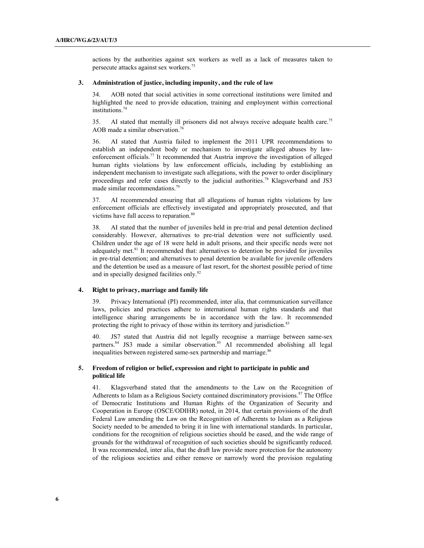actions by the authorities against sex workers as well as a lack of measures taken to persecute attacks against sex workers.73

#### **3. Administration of justice, including impunity, and the rule of law**

34. AOB noted that social activities in some correctional institutions were limited and highlighted the need to provide education, training and employment within correctional institutions.<sup>74</sup>

35. AI stated that mentally ill prisoners did not always receive adequate health care.75 AOB made a similar observation. 76

36. AI stated that Austria failed to implement the 2011 UPR recommendations to establish an independent body or mechanism to investigate alleged abuses by lawenforcement officials.<sup>77</sup> It recommended that Austria improve the investigation of alleged human rights violations by law enforcement officials, including by establishing an independent mechanism to investigate such allegations, with the power to order disciplinary proceedings and refer cases directly to the judicial authorities.<sup>78</sup> Klagsverband and JS3 made similar recommendations. 79

37. AI recommended ensuring that all allegations of human rights violations by law enforcement officials are effectively investigated and appropriately prosecuted, and that victims have full access to reparation.<sup>80</sup>

38. AI stated that the number of juveniles held in pre-trial and penal detention declined considerably. However, alternatives to pre-trial detention were not sufficiently used. Children under the age of 18 were held in adult prisons, and their specific needs were not adequately met.<sup>81</sup> It recommended that: alternatives to detention be provided for juveniles in pre-trial detention; and alternatives to penal detention be available for juvenile offenders and the detention be used as a measure of last resort, for the shortest possible period of time and in specially designed facilities only. 82

#### **4. Right to privacy, marriage and family life**

39. Privacy International (PI) recommended, inter alia, that communication surveillance laws, policies and practices adhere to international human rights standards and that intelligence sharing arrangements be in accordance with the law. It recommended protecting the right to privacy of those within its territory and jurisdiction.<sup>83</sup>

40. JS7 stated that Austria did not legally recognise a marriage between same-sex partners.<sup>84</sup> JS3 made a similar observation.<sup>85</sup> AI recommended abolishing all legal inequalities between registered same-sex partnership and marriage.<sup>86</sup>

## **5. Freedom of religion or belief, expression and right to participate in public and political life**

41. Klagsverband stated that the amendments to the Law on the Recognition of Adherents to Islam as a Religious Society contained discriminatory provisions.<sup>87</sup> The Office of Democratic Institutions and Human Rights of the Organization of Security and Cooperation in Europe (OSCE/ODIHR) noted, in 2014, that certain provisions of the draft Federal Law amending the Law on the Recognition of Adherents to Islam as a Religious Society needed to be amended to bring it in line with international standards. In particular, conditions for the recognition of religious societies should be eased, and the wide range of grounds for the withdrawal of recognition of such societies should be significantly reduced. It was recommended, inter alia, that the draft law provide more protection for the autonomy of the religious societies and either remove or narrowly word the provision regulating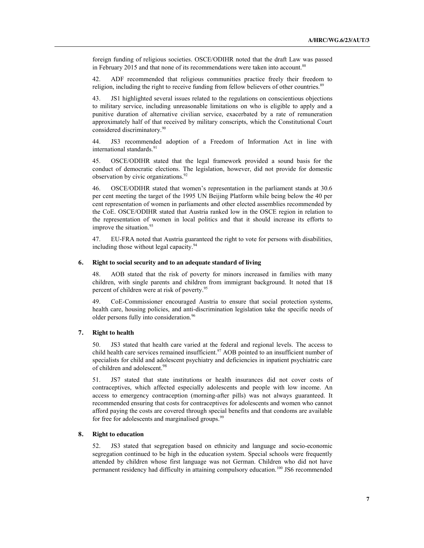foreign funding of religious societies. OSCE/ODIHR noted that the draft Law was passed in February 2015 and that none of its recommendations were taken into account.<sup>88</sup>

42. ADF recommended that religious communities practice freely their freedom to religion, including the right to receive funding from fellow believers of other countries.<sup>89</sup>

43. JS1 highlighted several issues related to the regulations on conscientious objections to military service, including unreasonable limitations on who is eligible to apply and a punitive duration of alternative civilian service, exacerbated by a rate of remuneration approximately half of that received by military conscripts, which the Constitutional Court considered discriminatory.<sup>90</sup>

44. JS3 recommended adoption of a Freedom of Information Act in line with international standards.<sup>91</sup>

45. OSCE/ODIHR stated that the legal framework provided a sound basis for the conduct of democratic elections. The legislation, however, did not provide for domestic observation by civic organizations. 92

46. OSCE/ODIHR stated that women's representation in the parliament stands at 30.6 per cent meeting the target of the 1995 UN Beijing Platform while being below the 40 per cent representation of women in parliaments and other elected assemblies recommended by the CoE. OSCE/ODIHR stated that Austria ranked low in the OSCE region in relation to the representation of women in local politics and that it should increase its efforts to improve the situation.<sup>93</sup>

47. EU-FRA noted that Austria guaranteed the right to vote for persons with disabilities, including those without legal capacity.<sup>94</sup>

#### **6. Right to social security and to an adequate standard of living**

48. AOB stated that the risk of poverty for minors increased in families with many children, with single parents and children from immigrant background. It noted that 18 percent of children were at risk of poverty.95

49. CoE-Commissioner encouraged Austria to ensure that social protection systems, health care, housing policies, and anti-discrimination legislation take the specific needs of older persons fully into consideration.<sup>96</sup>

#### **7. Right to health**

50. JS3 stated that health care varied at the federal and regional levels. The access to child health care services remained insufficient.<sup>97</sup> AOB pointed to an insufficient number of specialists for child and adolescent psychiatry and deficiencies in inpatient psychiatric care of children and adolescent.<sup>98</sup>

51. JS7 stated that state institutions or health insurances did not cover costs of contraceptives, which affected especially adolescents and people with low income. An access to emergency contraception (morning-after pills) was not always guaranteed. It recommended ensuring that costs for contraceptives for adolescents and women who cannot afford paying the costs are covered through special benefits and that condoms are available for free for adolescents and marginalised groups.<sup>99</sup>

#### **8. Right to education**

52. JS3 stated that segregation based on ethnicity and language and socio-economic segregation continued to be high in the education system. Special schools were frequently attended by children whose first language was not German. Children who did not have permanent residency had difficulty in attaining compulsory education.<sup>100</sup> JS6 recommended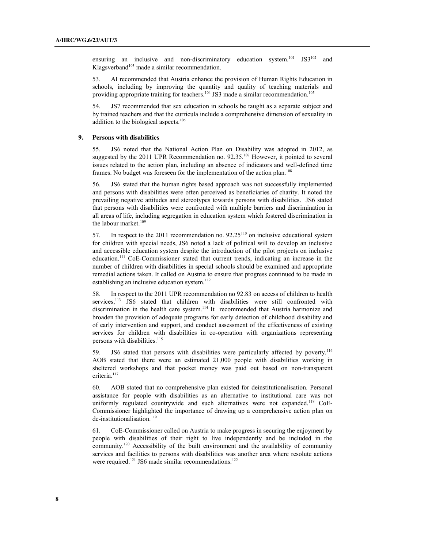ensuring an inclusive and non-discriminatory education system.<sup>101</sup> JS3<sup>102</sup> and Klagsverband<sup>103</sup> made a similar recommendation.

53. AI recommended that Austria enhance the provision of Human Rights Education in schools, including by improving the quantity and quality of teaching materials and providing appropriate training for teachers.<sup>104</sup> JS3 made a similar recommendation.<sup>105</sup>

54. JS7 recommended that sex education in schools be taught as a separate subject and by trained teachers and that the curricula include a comprehensive dimension of sexuality in addition to the biological aspects.106

#### **9. Persons with disabilities**

55. JS6 noted that the National Action Plan on Disability was adopted in 2012, as suggested by the 2011 UPR Recommendation no. 92.35.<sup>107</sup> However, it pointed to several issues related to the action plan, including an absence of indicators and well-defined time frames. No budget was foreseen for the implementation of the action plan.<sup>108</sup>

56. JS6 stated that the human rights based approach was not successfully implemented and persons with disabilities were often perceived as beneficiaries of charity. It noted the prevailing negative attitudes and stereotypes towards persons with disabilities. JS6 stated that persons with disabilities were confronted with multiple barriers and discrimination in all areas of life, including segregation in education system which fostered discrimination in the labour market.<sup>109</sup>

57. In respect to the 2011 recommendation no.  $92.25^{110}$  on inclusive educational system for children with special needs, JS6 noted a lack of political will to develop an inclusive and accessible education system despite the introduction of the pilot projects on inclusive education.<sup>111</sup> CoE-Commissioner stated that current trends, indicating an increase in the number of children with disabilities in special schools should be examined and appropriate remedial actions taken. It called on Austria to ensure that progress continued to be made in establishing an inclusive education system.<sup>112</sup>

58. In respect to the 2011 UPR recommendation no 92.83 on access of children to health services,<sup>113</sup> JS6 stated that children with disabilities were still confronted with discrimination in the health care system. <sup>114</sup> It recommended that Austria harmonize and broaden the provision of adequate programs for early detection of childhood disability and of early intervention and support, and conduct assessment of the effectiveness of existing services for children with disabilities in co-operation with organizations representing persons with disabilities.<sup>115</sup>

59. JS6 stated that persons with disabilities were particularly affected by poverty.116 AOB stated that there were an estimated 21,000 people with disabilities working in sheltered workshops and that pocket money was paid out based on non-transparent criteria. 117

60. AOB stated that no comprehensive plan existed for deinstitutionalisation. Personal assistance for people with disabilities as an alternative to institutional care was not uniformly regulated countrywide and such alternatives were not expanded.<sup>118</sup> CoE-Commissioner highlighted the importance of drawing up a comprehensive action plan on de-institutionalisation.<sup>119</sup>

61. CoE-Commissioner called on Austria to make progress in securing the enjoyment by people with disabilities of their right to live independently and be included in the community. <sup>120</sup> Accessibility of the built environment and the availability of community services and facilities to persons with disabilities was another area where resolute actions were required.<sup>121</sup> JS6 made similar recommendations.<sup>122</sup>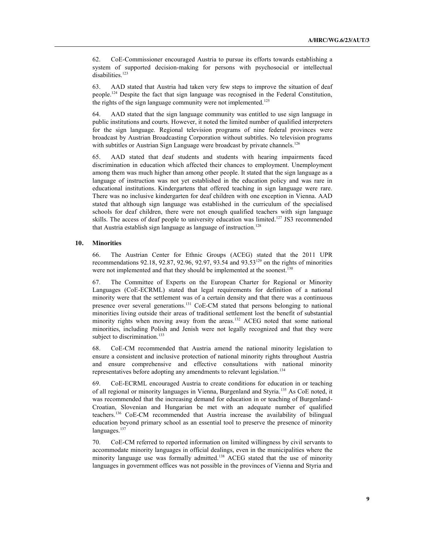62. CoE-Commissioner encouraged Austria to pursue its efforts towards establishing a system of supported decision-making for persons with psychosocial or intellectual disabilities.<sup>123</sup>

63. AAD stated that Austria had taken very few steps to improve the situation of deaf people. <sup>124</sup> Despite the fact that sign language was recognised in the Federal Constitution, the rights of the sign language community were not implemented.<sup>125</sup>

64. AAD stated that the sign language community was entitled to use sign language in public institutions and courts. However, it noted the limited number of qualified interpreters for the sign language. Regional television programs of nine federal provinces were broadcast by Austrian Broadcasting Corporation without subtitles. No television programs with subtitles or Austrian Sign Language were broadcast by private channels.<sup>126</sup>

65. AAD stated that deaf students and students with hearing impairments faced discrimination in education which affected their chances to employment. Unemployment among them was much higher than among other people. It stated that the sign language as a language of instruction was not yet established in the education policy and was rare in educational institutions. Kindergartens that offered teaching in sign language were rare. There was no inclusive kindergarten for deaf children with one exception in Vienna. AAD stated that although sign language was established in the curriculum of the specialised schools for deaf children, there were not enough qualified teachers with sign language skills. The access of deaf people to university education was limited.<sup>127</sup> JS3 recommended that Austria establish sign language as language of instruction.<sup>128</sup>

#### **10. Minorities**

66. The Austrian Center for Ethnic Groups (ACEG) stated that the 2011 UPR recommendations 92.18, 92.87, 92.96, 92.97, 93.54 and 93.53129 on the rights of minorities were not implemented and that they should be implemented at the soonest.<sup>130</sup>

67. The Committee of Experts on the European Charter for Regional or Minority Languages (CoE-ECRML) stated that legal requirements for definition of a national minority were that the settlement was of a certain density and that there was a continuous presence over several generations.<sup>131</sup> CoE-CM stated that persons belonging to national minorities living outside their areas of traditional settlement lost the benefit of substantial minority rights when moving away from the areas.<sup>132</sup> ACEG noted that some national minorities, including Polish and Jenish were not legally recognized and that they were subject to discrimination.<sup>133</sup>

68. CoE-CM recommended that Austria amend the national minority legislation to ensure a consistent and inclusive protection of national minority rights throughout Austria and ensure comprehensive and effective consultations with national minority representatives before adopting any amendments to relevant legislation.<sup>134</sup>

69. CoE-ECRML encouraged Austria to create conditions for education in or teaching of all regional or minority languages in Vienna, Burgenland and Styria.135 As CoE noted, it was recommended that the increasing demand for education in or teaching of Burgenland-Croatian, Slovenian and Hungarian be met with an adequate number of qualified teachers. <sup>136</sup> CoE-CM recommended that Austria increase the availability of bilingual education beyond primary school as an essential tool to preserve the presence of minority languages.<sup>137</sup>

70. CoE-CM referred to reported information on limited willingness by civil servants to accommodate minority languages in official dealings, even in the municipalities where the minority language use was formally admitted.<sup>138</sup> ACEG stated that the use of minority languages in government offices was not possible in the provinces of Vienna and Styria and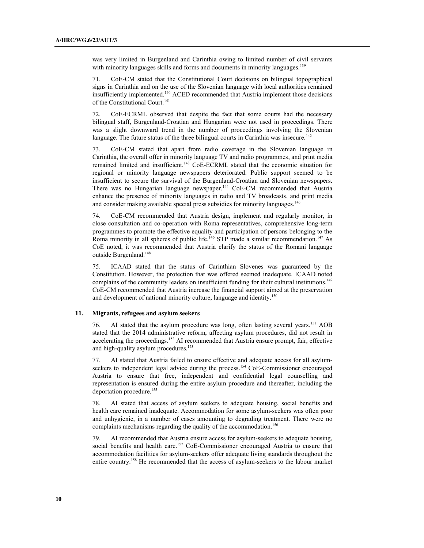was very limited in Burgenland and Carinthia owing to limited number of civil servants with minority languages skills and forms and documents in minority languages.<sup>139</sup>

71. CoE-CM stated that the Constitutional Court decisions on bilingual topographical signs in Carinthia and on the use of the Slovenian language with local authorities remained insufficiently implemented.140 ACED recommended that Austria implement those decisions of the Constitutional Court.<sup>141</sup>

72. CoE-ECRML observed that despite the fact that some courts had the necessary bilingual staff, Burgenland-Croatian and Hungarian were not used in proceedings. There was a slight downward trend in the number of proceedings involving the Slovenian language. The future status of the three bilingual courts in Carinthia was insecure.<sup>142</sup>

73. CoE-CM stated that apart from radio coverage in the Slovenian language in Carinthia, the overall offer in minority language TV and radio programmes, and print media remained limited and insufficient.<sup>143</sup> CoE-ECRML stated that the economic situation for regional or minority language newspapers deteriorated. Public support seemed to be insufficient to secure the survival of the Burgenland-Croatian and Slovenian newspapers. There was no Hungarian language newspaper.144 CoE-CM recommended that Austria enhance the presence of minority languages in radio and TV broadcasts, and print media and consider making available special press subsidies for minority languages.<sup>145</sup>

74. CoE-CM recommended that Austria design, implement and regularly monitor, in close consultation and co-operation with Roma representatives, comprehensive long-term programmes to promote the effective equality and participation of persons belonging to the Roma minority in all spheres of public life.<sup>146</sup> STP made a similar recommendation.<sup>147</sup> As CoE noted, it was recommended that Austria clarify the status of the Romani language outside Burgenland.<sup>148</sup>

75. ICAAD stated that the status of Carinthian Slovenes was guaranteed by the Constitution. However, the protection that was offered seemed inadequate. ICAAD noted complains of the community leaders on insufficient funding for their cultural institutions.<sup>149</sup> CoE-CM recommended that Austria increase the financial support aimed at the preservation and development of national minority culture, language and identity.<sup>150</sup>

#### **11. Migrants, refugees and asylum seekers**

76. AI stated that the asylum procedure was long, often lasting several years. <sup>151</sup> AOB stated that the 2014 administrative reform, affecting asylum procedures, did not result in accelerating the proceedings.<sup>152</sup> AI recommended that Austria ensure prompt, fair, effective and high-quality asylum procedures.<sup>153</sup>

AI stated that Austria failed to ensure effective and adequate access for all asylumseekers to independent legal advice during the process.<sup>154</sup> CoE-Commissioner encouraged Austria to ensure that free, independent and confidential legal counselling and representation is ensured during the entire asylum procedure and thereafter, including the deportation procedure.<sup>155</sup>

78. AI stated that access of asylum seekers to adequate housing, social benefits and health care remained inadequate. Accommodation for some asylum-seekers was often poor and unhygienic, in a number of cases amounting to degrading treatment. There were no complaints mechanisms regarding the quality of the accommodation.<sup>156</sup>

79. AI recommended that Austria ensure access for asylum-seekers to adequate housing, social benefits and health care.<sup>157</sup> CoE-Commissioner encouraged Austria to ensure that accommodation facilities for asylum-seekers offer adequate living standards throughout the entire country.158 He recommended that the access of asylum-seekers to the labour market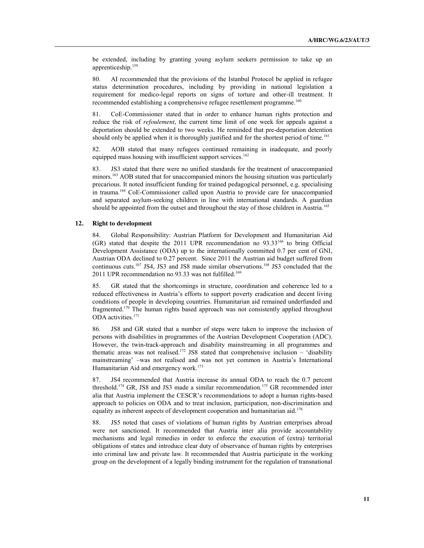be extended, including by granting young asylum seekers permission to take up an apprenticeship. 159

80. AI recommended that the provisions of the Istanbul Protocol be applied in refugee status determination procedures, including by providing in national legislation a requirement for medico-legal reports on signs of torture and other-ill treatment. It recommended establishing a comprehensive refugee resettlement programme.<sup>160</sup>

81. CoE-Commissioner stated that in order to enhance human rights protection and reduce the risk of *refoulement*, the current time limit of one week for appeals against a deportation should be extended to two weeks. He reminded that pre-deportation detention should only be applied when it is thoroughly justified and for the shortest period of time.<sup>161</sup>

82. AOB stated that many refugees continued remaining in inadequate, and poorly equipped mass housing with insufficient support services.<sup>162</sup>

83. JS3 stated that there were no unified standards for the treatment of unaccompanied minors.<sup>163</sup> AOB stated that for unaccompanied minors the housing situation was particularly precarious. It noted insufficient funding for trained pedagogical personnel, e.g. specialising in trauma.164 CoE-Commissioner called upon Austria to provide care for unaccompanied and separated asylum-seeking children in line with international standards. A guardian should be appointed from the outset and throughout the stay of those children in Austria.<sup>165</sup>

### **12. Right to development**

84. Global Responsibility: Austrian Platform for Development and Humanitarian Aid  $(GR)$  stated that despite the 2011 UPR recommendation no 93.33<sup>166</sup> to bring Official Development Assistance (ODA) up to the internationally committed 0.7 per cent of GNI, Austrian ODA declined to 0.27 percent. Since 2011 the Austrian aid budget suffered from continuous cuts. <sup>167</sup> JS4, JS3 and JS8 made similar observations. <sup>168</sup> JS3 concluded that the 2011 UPR recommendation no 93.33 was not fulfilled.<sup>169</sup>

85. GR stated that the shortcomings in structure, coordination and coherence led to a reduced effectiveness in Austria's efforts to support poverty eradication and decent living conditions of people in developing countries. Humanitarian aid remained underfunded and fragmented.170 The human rights based approach was not consistently applied throughout ODA activities. 171

86. JS8 and GR stated that a number of steps were taken to improve the inclusion of persons with disabilities in programmes of the Austrian Development Cooperation (ADC). However, the twin-track-approach and disability mainstreaming in all programmes and thematic areas was not realised.<sup>172</sup> JS8 stated that comprehensive inclusion  $-$  'disability mainstreaming' –was not realised and was not yet common in Austria's International Humanitarian Aid and emergency work.<sup>173</sup>

87. JS4 recommended that Austria increase its annual ODA to reach the 0.7 percent threshold.<sup>174</sup> GR, JS8 and JS3 made a similar recommendation.<sup>175</sup> GR recommended inter alia that Austria implement the CESCR's recommendations to adopt a human rights-based approach to policies on ODA and to treat inclusion, participation, non-discrimination and equality as inherent aspects of development cooperation and humanitarian aid.<sup>176</sup>

88. JS5 noted that cases of violations of human rights by Austrian enterprises abroad were not sanctioned. It recommended that Austria inter alia provide accountability mechanisms and legal remedies in order to enforce the execution of (extra) territorial obligations of states and introduce clear duty of observance of human rights by enterprises into criminal law and private law. It recommended that Austria participate in the working group on the development of a legally binding instrument for the regulation of transnational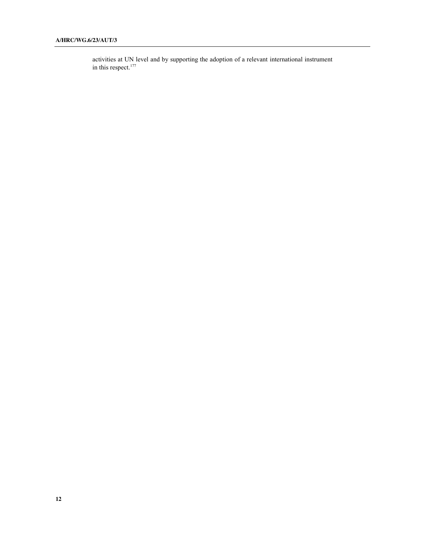activities at UN level and by supporting the adoption of a relevant international instrument in this respect.<sup>177</sup>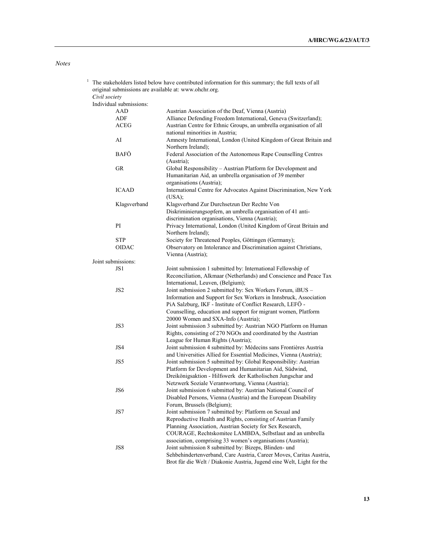## *Notes*

| 1 | The stakeholders listed below have contributed information for this summary; the full texts of all<br>original submissions are available at: www.ohchr.org.<br>Civil society |                                                                       |
|---|------------------------------------------------------------------------------------------------------------------------------------------------------------------------------|-----------------------------------------------------------------------|
|   |                                                                                                                                                                              |                                                                       |
|   | Individual submissions:                                                                                                                                                      |                                                                       |
|   | AAD                                                                                                                                                                          | Austrian Association of the Deaf, Vienna (Austria)                    |
|   | ADF                                                                                                                                                                          | Alliance Defending Freedom International, Geneva (Switzerland);       |
|   | ACEG                                                                                                                                                                         | Austrian Centre for Ethnic Groups, an umbrella organisation of all    |
|   |                                                                                                                                                                              | national minorities in Austria;                                       |
|   | AI                                                                                                                                                                           | Amnesty International, London (United Kingdom of Great Britain and    |
|   |                                                                                                                                                                              | Northern Ireland);                                                    |
|   | BAFÖ                                                                                                                                                                         | Federal Association of the Autonomous Rape Counselling Centres        |
|   |                                                                                                                                                                              | (Austria);                                                            |
|   | <b>GR</b>                                                                                                                                                                    | Global Responsibility - Austrian Platform for Development and         |
|   |                                                                                                                                                                              | Humanitarian Aid, an umbrella organisation of 39 member               |
|   |                                                                                                                                                                              | organisations (Austria);                                              |
|   | <b>ICAAD</b>                                                                                                                                                                 | International Centre for Advocates Against Discrimination, New York   |
|   |                                                                                                                                                                              | (USA);                                                                |
|   | Klagsverband                                                                                                                                                                 | Klagsverband Zur Durchsetzun Der Rechte Von                           |
|   |                                                                                                                                                                              | Diskriminierungsopfern, an umbrella organisation of 41 anti-          |
|   |                                                                                                                                                                              | discrimination organisations, Vienna (Austria);                       |
|   | PI                                                                                                                                                                           | Privacy International, London (United Kingdom of Great Britain and    |
|   |                                                                                                                                                                              | Northern Ireland);                                                    |
|   | STP                                                                                                                                                                          | Society for Threatened Peoples, Göttingen (Germany);                  |
|   | <b>OIDAC</b>                                                                                                                                                                 | Observatory on Intolerance and Discrimination against Christians,     |
|   |                                                                                                                                                                              | Vienna (Austria);                                                     |
|   | Joint submissions:                                                                                                                                                           |                                                                       |
|   |                                                                                                                                                                              |                                                                       |
|   | JS1                                                                                                                                                                          | Joint submission 1 submitted by: International Fellowship of          |
|   |                                                                                                                                                                              | Reconciliation, Alkmaar (Netherlands) and Conscience and Peace Tax    |
|   |                                                                                                                                                                              | International, Leuven, (Belgium);                                     |
|   | JS <sub>2</sub>                                                                                                                                                              | Joint submission 2 submitted by: Sex Workers Forum, iBUS -            |
|   |                                                                                                                                                                              | Information and Support for Sex Workers in Innsbruck, Association     |
|   |                                                                                                                                                                              | PiA Salzburg, IKF - Institute of Conflict Research, LEFÖ -            |
|   |                                                                                                                                                                              | Counselling, education and support for migrant women, Platform        |
|   |                                                                                                                                                                              | 20000 Women and SXA-Info (Austria);                                   |
|   | JS3                                                                                                                                                                          | Joint submission 3 submitted by: Austrian NGO Platform on Human       |
|   |                                                                                                                                                                              | Rights, consisting of 270 NGOs and coordinated by the Austrian        |
|   |                                                                                                                                                                              | League for Human Rights (Austria);                                    |
|   | JS4                                                                                                                                                                          | Joint submission 4 submitted by: Médecins sans Frontières Austria     |
|   |                                                                                                                                                                              | and Universities Allied for Essential Medicines, Vienna (Austria);    |
|   | JS5                                                                                                                                                                          | Joint submission 5 submitted by: Global Responsibility: Austrian      |
|   |                                                                                                                                                                              | Platform for Development and Humanitarian Aid, Südwind,               |
|   |                                                                                                                                                                              | Dreikönigsaktion - Hilfswerk der Katholischen Jungschar and           |
|   |                                                                                                                                                                              | Netzwerk Soziale Verantwortung, Vienna (Austria);                     |
|   | JS6                                                                                                                                                                          | Joint submission 6 submitted by: Austrian National Council of         |
|   |                                                                                                                                                                              | Disabled Persons, Vienna (Austria) and the European Disability        |
|   |                                                                                                                                                                              | Forum, Brussels (Belgium);                                            |
|   | JS7                                                                                                                                                                          | Joint submission 7 submitted by: Platform on Sexual and               |
|   |                                                                                                                                                                              | Reproductive Health and Rights, consisting of Austrian Family         |
|   |                                                                                                                                                                              | Planning Association, Austrian Society for Sex Research,              |
|   |                                                                                                                                                                              | COURAGE, Rechtskomitee LAMBDA, Selbstlaut and an umbrella             |
|   |                                                                                                                                                                              | association, comprising 33 women's organisations (Austria);           |
|   | JS8                                                                                                                                                                          | Joint submission 8 submitted by: Bizeps, Blinden- und                 |
|   |                                                                                                                                                                              | Sehbehindertenverband, Care Austria, Career Moves, Caritas Austria,   |
|   |                                                                                                                                                                              | Brot für die Welt / Diakonie Austria, Jugend eine Welt, Light for the |
|   |                                                                                                                                                                              |                                                                       |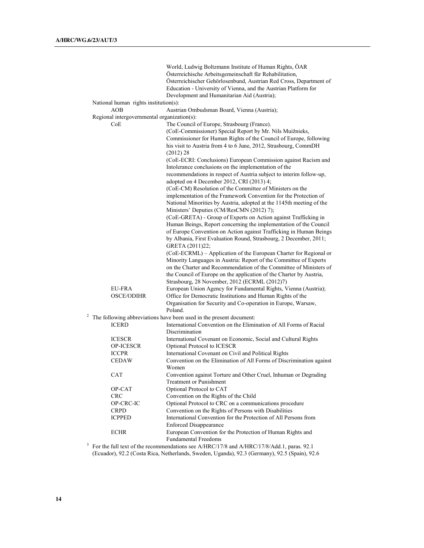World, Ludwig Boltzmann Institute of Human Rights, ÖAR Österreichische Arbeitsgemeinschaft für Rehabilitation, Österreichischer Gehörlosenbund, Austrian Red Cross, Department of Education - University of Vienna, and the Austrian Platform for Development and Humanitarian Aid (Austria); National human rights institution(s): AOB Austrian Ombudsman Board, Vienna (Austria); Regional intergovernmental organization(s): CoE The Council of Europe, Strasbourg (France). (CoE-Commissioner) Special Report by Mr. Nils Muižnieks, Commissioner for Human Rights of the Council of Europe, following his visit to Austria from 4 to 6 June, 2012, Strasbourg, CommDH (2012) 28 (CoE-ECRI: Conclusions) European Commission against Racism and Intolerance conclusions on the implementation of the recommendations in respect of Austria subject to interim follow-up, adopted on 4 December 2012, CRI (2013) 4; (CoE-CM) Resolution of the Committee of Ministers on the implementation of the Framework Convention for the Protection of National Minorities by Austria, adopted at the 1145th meeting of the Ministers' Deputies (CM/ResCMN (2012) 7); (CoE-GRETA) - Group of Experts on Action against Trafficking in Human Beings, Report concerning the implementation of the Council of Europe Convention on Action against Trafficking in Human Beings by Albania, First Evaluation Round, Strasbourg, 2 December, 2011; GRETA (2011)22; (CoE-ECRML) – Application of the European Charter for Regional or Minority Languages in Austria: Report of the Committee of Experts on the Charter and Recommendation of the Committee of Ministers of the Council of Europe on the application of the Charter by Austria, Strasbourg, 28 November, 2012 (ECRML (2012)7) EU-FRA European Union Agency for Fundamental Rights, Vienna (Austria); OSCE/ODIHR Office for Democratic Institutions and Human Rights of the Organisation for Security and Co-operation in Europe, Warsaw, Poland. <sup>2</sup> The following abbreviations have been used in the present document: ICERD International Convention on the Elimination of All Forms of Racial Discrimination ICESCR International Covenant on Economic, Social and Cultural Rights OP-ICESCR Optional Protocol to ICESCR ICCPR International Covenant on Civil and Political Rights CEDAW Convention on the Elimination of All Forms of Discrimination against Women CAT Convention against Torture and Other Cruel, Inhuman or Degrading Treatment or Punishment OP-CAT Optional Protocol to CAT CRC Convention on the Rights of the Child OP-CRC-IC Optional Protocol to CRC on a communications procedure CRPD Convention on the Rights of Persons with Disabilities ICPPED International Convention for the Protection of All Persons from Enforced Disappearance ECHR European Convention for the Protection of Human Rights and Fundamental Freedoms

<sup>3</sup> For the full text of the recommendations see A/HRC/17/8 and A/HRC/17/8/Add.1, paras. 92.1 (Ecuador), 92.2 (Costa Rica, Netherlands, Sweden, Uganda), 92.3 (Germany), 92.5 (Spain), 92.6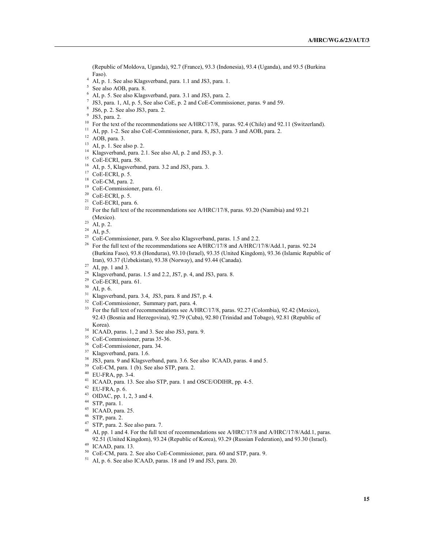(Republic of Moldova, Uganda), 92.7 (France), 93.3 (Indonesia), 93.4 (Uganda), and 93.5 (Burkina Faso).

- AI, p. 1. See also Klagsverband, para. 1.1 and JS3, para. 1.
- See also AOB, para. 8.
- AI, p. 5. See also Klagsverband, para. 3.1 and JS3, para. 2.
- JS3, para. 1, AI, p. 5, See also CoE, p. 2 and CoE-Commissioner, paras. 9 and 59.
- JS6, p. 2. See also JS3, para. 2.
- JS3, para. 2.
- <sup>10</sup> For the text of the recommendations see A/HRC/17/8, paras. 92.4 (Chile) and 92.11 (Switzerland).
- <sup>11</sup> AI, pp. 1-2. See also CoE-Commissioner, para. 8, JS3, para. 3 and AOB, para. 2.
- AOB, para. 3.
- AI, p. 1. See also p. 2.
- <sup>14</sup> Klagsverband, para. 2.1. See also AI, p. 2 and JS3, p. 3.
- <sup>15</sup> CoE-ECRI, para. 58.
- AI, p. 5, Klagsverband, para. 3.2 and JS3, para. 3.
- CoE-ECRI, p. 5.
- CoE-CM, para. 2.
- CoE-Commissioner, para. 61.
- CoE-ECRI, p. 5.
- CoE-ECRI, para. 6.
- <sup>22</sup> For the full text of the recommendations see A/HRC/17/8, paras. 93.20 (Namibia) and 93.21 (Mexico).
- AI, p. 2.
- AI, p.5.
- <sup>25</sup> CoE-Commissioner, para. 9. See also Klagsverband, paras. 1.5 and 2.2.<br><sup>26</sup> For the full text of the recommendations see  $\Delta/HRC/17/8$  and  $\Delta/HRC/1$
- For the full text of the recommendations see A/HRC/17/8 and A/HRC/17/8/Add.1, paras. 92.24 (Burkina Faso), 93.8 (Honduras), 93.10 (Israel), 93.35 (United Kingdom), 93.36 (Islamic Republic of Iran), 93.37 (Uzbekistan), 93.38 (Norway), and 93.44 (Canada).
- 
- <sup>28</sup> Klagsverband, paras. 1.5 and 2.2, JS7, p. 4, and JS3, para. 8.
- CoE-ECRI, para. 61.
- AI, p. 6.
- Klagsverband, para. 3.4, JS3, para. 8 and JS7, p. 4.
- <sup>32</sup> CoE-Commissioner, Summary part, para. 4.
- <sup>33</sup> For the full text of recommendations see A/HRC/17/8, paras. 92.27 (Colombia), 92.42 (Mexico), 92.43 (Bosnia and Herzegovina), 92.79 (Cuba), 92.80 (Trinidad and Tobago), 92.81 (Republic of Korea).
- ICAAD, paras. 1, 2 and 3. See also JS3, para. 9.
- CoE-Commissioner, paras 35-36.
- CoE-Commissioner, para. 34.
- Klagsverband, para. 1.6.
- JS3, para. 9 and Klagsverband, para. 3.6. See also ICAAD, paras. 4 and 5.
- CoE-CM, para. 1 (b). See also STP, para. 2.
- EU-FRA, pp. 3-4.
- ICAAD, para. 13. See also STP, para. 1 and OSCE/ODIHR, pp. 4-5.
- EU-FRA, p. 6.
- OIDAC, pp. 1, 2, 3 and 4.
- STP, para. 1.
- ICAAD, para. 25.
- STP, para. 2.
- STP, para. 2. See also para. 7.
- <sup>48</sup> AI, pp. 1 and 4. For the full text of recommendations see A/HRC/17/8 and A/HRC/17/8/Add.1, paras. 92.51 (United Kingdom), 93.24 (Republic of Korea), 93.29 (Russian Federation), and 93.30 (Israel).
- ICAAD, para. 13.
- CoE-CM, para. 2. See also CoE-Commissioner, para. 60 and STP, para. 9.
- AI, p. 6. See also ICAAD, paras. 18 and 19 and JS3, para. 20.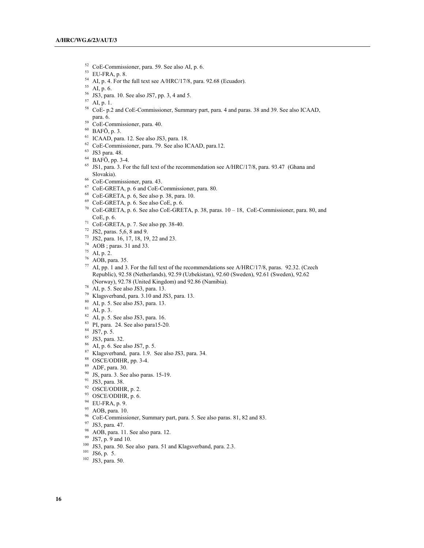- CoE-Commissioner, para. 59. See also AI, p. 6.
- EU-FRA, p. 8.
- <sup>54</sup> AI, p. 4. For the full text see A/HRC/17/8, para. 92.68 (Ecuador). <sup>55</sup> AI, p. 6.
- 
- JS3, para. 10. See also JS7, pp. 3, 4 and 5.
- AI, p. 1.
- CoE- p.2 and CoE-Commissioner, Summary part, para. 4 and paras. 38 and 39. See also ICAAD, para. 6.
- CoE-Commissioner, para. 40.
- BAFÖ, p. 3.
- ICAAD, para. 12. See also JS3, para. 18.
- CoE-Commissioner, para. 79. See also ICAAD, para.12.
- 
- <sup>63</sup> JS3 para. 48.<br><sup>64</sup> BAFÖ, pp. 3-4.
- <sup>65</sup> JS1, para. 3. For the full text of the recommendation see A/HRC/17/8, para. 93.47 (Ghana and Slovakia).
- CoE-Commissioner, para. 43.
- CoE-GRETA, p. 6 and CoE-Commissioner, para. 80.
- CoE-GRETA, p. 6, See also p. 38, para. 10.
- CoE-GRETA, p. 6. See also CoE, p. 6.
- CoE-GRETA, p. 6. See also CoE-GRETA, p. 38, paras. 10 18, CoE-Commissioner, para. 80, and CoE, p. 6. 71 CoE-GRETA, p. 7. See also pp. 38-40.
- 
- JS2, paras. 5,6, 8 and 9.
- JS2, para. 16, 17, 18, 19, 22 and 23.
- AOB ; paras. 31 and 33.
- AI, p. 2.
- AOB, para. 35.
- AI, pp. 1 and 3. For the full text of the recommendations see A/HRC/17/8, paras. 92.32. (Czech Republic), 92.58 (Netherlands), 92.59 (Uzbekistan), 92.60 (Sweden), 92.61 (Sweden), 92.62 (Norway), 92.78 (United Kingdom) and 92.86 (Namibia).
- AI, p. 5. See also JS3, para. 13.
- Klagsverband, para. 3.10 and JS3, para. 13.
- AI, p. 5. See also JS3, para. 13.
- AI, p. 3.
- AI, p. 5. See also JS3, para. 16.
- PI, para. 24. See also para15-20.
- JS7, p. 5.
- JS3, para. 32.
- AI, p. 6. See also JS7, p. 5.
- Klagsverband, para. 1.9. See also JS3, para. 34.
- OSCE/ODIHR, pp. 3-4.
- ADF, para. 30.
- JS, para. 3. See also paras. 15-19.
- JS3, para. 38.
- OSCE/ODIHR, p. 2.
- OSCE/ODIHR, p. 6.
- EU-FRA, p. 9.
- AOB, para. 10.
- CoE-Commissioner, Summary part, para. 5. See also paras. 81, 82 and 83.
- JS3, para. 47.
- AOB, para. 11. See also para. 12.
- JS7, p. 9 and 10.
- JS3, para. 50. See also para. 51 and Klagsverband, para. 2.3. 101 JS6, p. 5.
- 
- JS3, para. 50.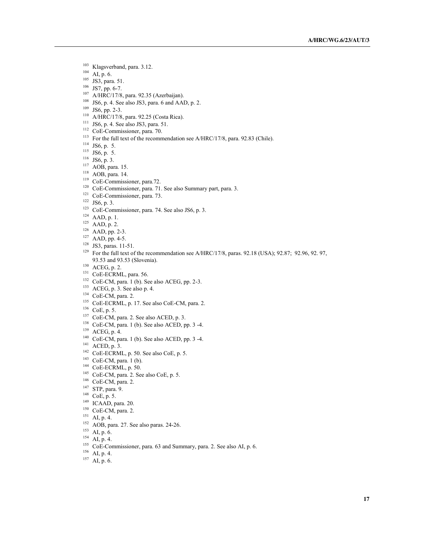- Klagsverband, para. 3.12.
- AI, p. 6.
- <sup>105</sup> JS3, para. 51.
- JS7, pp. 6-7.
- A/HRC/17/8, para. 92.35 (Azerbaijan).
- JS6, p. 4. See also JS3, para. 6 and AAD, p. 2.
- JS6, pp. 2-3.
- A/HRC/17/8, para. 92.25 (Costa Rica).
- JS6, p. 4. See also JS3, para. 51.
- CoE-Commissioner, para. 70.
- <sup>113</sup> For the full text of the recommendation see A/HRC/17/8, para. 92.83 (Chile).
- JS6, p. 5.
- JS6, p. 5.
- JS6, p. 3.
- AOB, para. 15.
- AOB, para. 14.
- <sup>119</sup> CoE-Commissioner, para.72.
- <sup>120</sup> CoE-Commissioner, para. 71. See also Summary part, para. 3.
- <sup>121</sup> CoE-Commissioner, para. 73.<br><sup>122</sup> JS6, p. 3.
- 
- CoE-Commissioner, para. 74. See also JS6, p. 3.
- AAD, p. 1.
- AAD, p. 2.
- AAD, pp. 2-3.
- AAD, pp. 4-5.
- JS3, paras. 11-51.
- <sup>129</sup> For the full text of the recommendation see A/HRC/17/8, paras. 92.18 (USA); 92.87; 92.96, 92. 97, 93.53 and 93.53 (Slovenia).
- ACEG, p. 2.
- <sup>131</sup> CoE-ECRML, para. 56.
- CoE-CM, para. 1 (b). See also ACEG, pp. 2-3.
- ACEG, p. 3. See also p. 4.
- CoE-CM, para. 2.
- <sup>135</sup> CoE-ECRML, p. 17. See also CoE-CM, para. 2.
- CoE, p. 5.
- CoE-CM, para. 2. See also ACED, p. 3.
- CoE-CM, para. 1 (b). See also ACED, pp. 3 -4.
- ACEG, p. 4.
- CoE-CM, para. 1 (b). See also ACED, pp. 3 -4.
- ACED, p. 3.
- CoE-ECRML, p. 50. See also CoE, p. 5.
- CoE-CM, para. 1 (b).
- CoE-ECRML, p. 50.
- CoE-CM, para. 2. See also CoE, p. 5.
- CoE-CM, para. 2.
- STP, para. 9.
- CoE, p. 5.
- ICAAD, para. 20.
- CoE-CM, para. 2.
- AI, p. 4.
- AOB, para. 27. See also paras. 24-26.
- AI, p. 6.
- AI, p. 4.
- <sup>155</sup> CoE-Commissioner, para. 63 and Summary, para. 2. See also AI, p. 6.
- AI, p. 4.
- AI, p. 6.